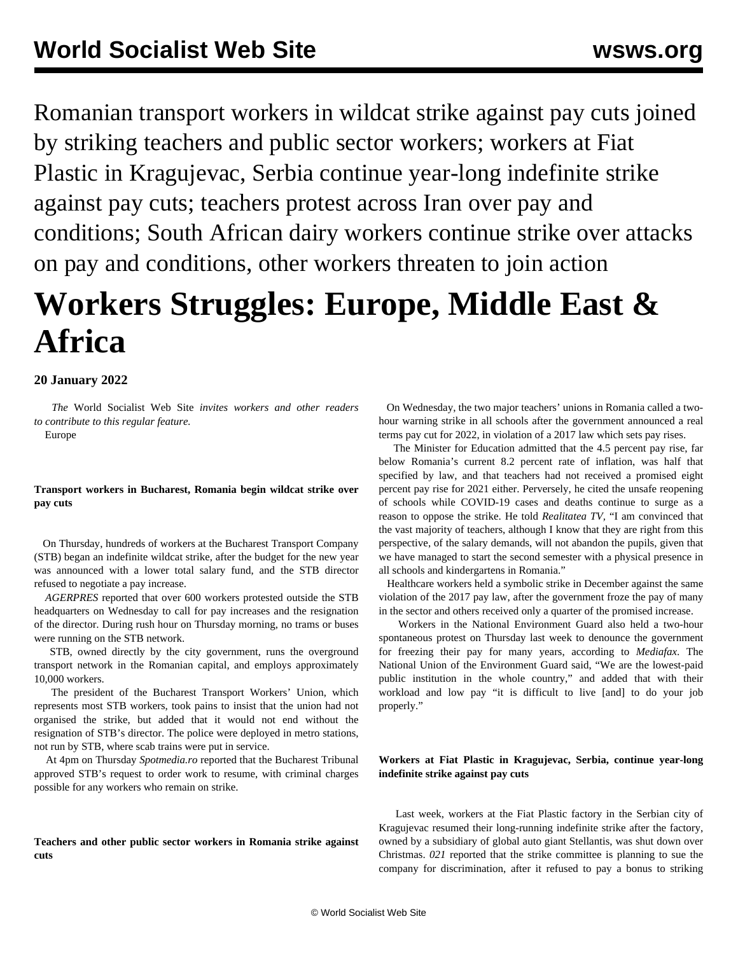Romanian transport workers in wildcat strike against pay cuts joined by striking teachers and public sector workers; workers at Fiat Plastic in Kragujevac, Serbia continue year-long indefinite strike against pay cuts; teachers protest across Iran over pay and conditions; South African dairy workers continue strike over attacks on pay and conditions, other workers threaten to join action

# **Workers Struggles: Europe, Middle East & Africa**

## **20 January 2022**

 *The* World Socialist Web Site *invites workers and other readers to [contribute](/wsws/dd-formmailer/dd-formmailer.php) to this regular feature.*

Europe

## **Transport workers in Bucharest, Romania begin wildcat strike over pay cuts**

 On Thursday, hundreds of workers at the Bucharest Transport Company (STB) began an indefinite wildcat strike, after the budget for the new year was announced with a lower total salary fund, and the STB director refused to negotiate a pay increase.

 *AGERPRES* reported that over 600 workers protested outside the STB headquarters on Wednesday to call for pay increases and the resignation of the director. During rush hour on Thursday morning, no trams or buses were running on the STB network.

 STB, owned directly by the city government, runs the overground transport network in the Romanian capital, and employs approximately 10,000 workers.

 The president of the Bucharest Transport Workers' Union, which represents most STB workers, took pains to insist that the union had not organised the strike, but added that it would not end without the resignation of STB's director. The police were deployed in metro stations, not run by STB, where scab trains were put in service.

 At 4pm on Thursday *Spotmedia.ro* reported that the Bucharest Tribunal approved STB's request to order work to resume, with criminal charges possible for any workers who remain on strike.

**Teachers and other public sector workers in Romania strike against cuts**

 On Wednesday, the two major teachers' unions in Romania called a twohour warning strike in all schools after the government announced a real terms pay cut for 2022, in violation of a 2017 law which sets pay rises.

 The Minister for Education admitted that the 4.5 percent pay rise, far below Romania's current 8.2 percent rate of inflation, was half that specified by law, and that teachers had not received a promised eight percent pay rise for 2021 either. Perversely, he cited the unsafe reopening of schools while COVID-19 cases and deaths continue to surge as a reason to oppose the strike. He told *Realitatea TV,* "I am convinced that the vast majority of teachers, although I know that they are right from this perspective, of the salary demands, will not abandon the pupils, given that we have managed to start the second semester with a physical presence in all schools and kindergartens in Romania."

 Healthcare workers held a symbolic strike in December against the same violation of the 2017 pay law, after the government froze the pay of many in the sector and others received only a quarter of the promised increase.

 Workers in the National Environment Guard also held a two-hour spontaneous protest on Thursday last week to denounce the government for freezing their pay for many years, according to *Mediafax*. The National Union of the Environment Guard said, "We are the lowest-paid public institution in the whole country," and added that with their workload and low pay "it is difficult to live [and] to do your job properly."

## **Workers at Fiat Plastic in Kragujevac, Serbia, continue year-long indefinite strike against pay cuts**

 Last week, workers at the Fiat Plastic factory in the Serbian city of Kragujevac resumed their long-running indefinite strike after the factory, owned by a subsidiary of global auto giant Stellantis, was shut down over Christmas. *021* reported that the strike committee is planning to sue the company for discrimination, after it refused to pay a bonus to striking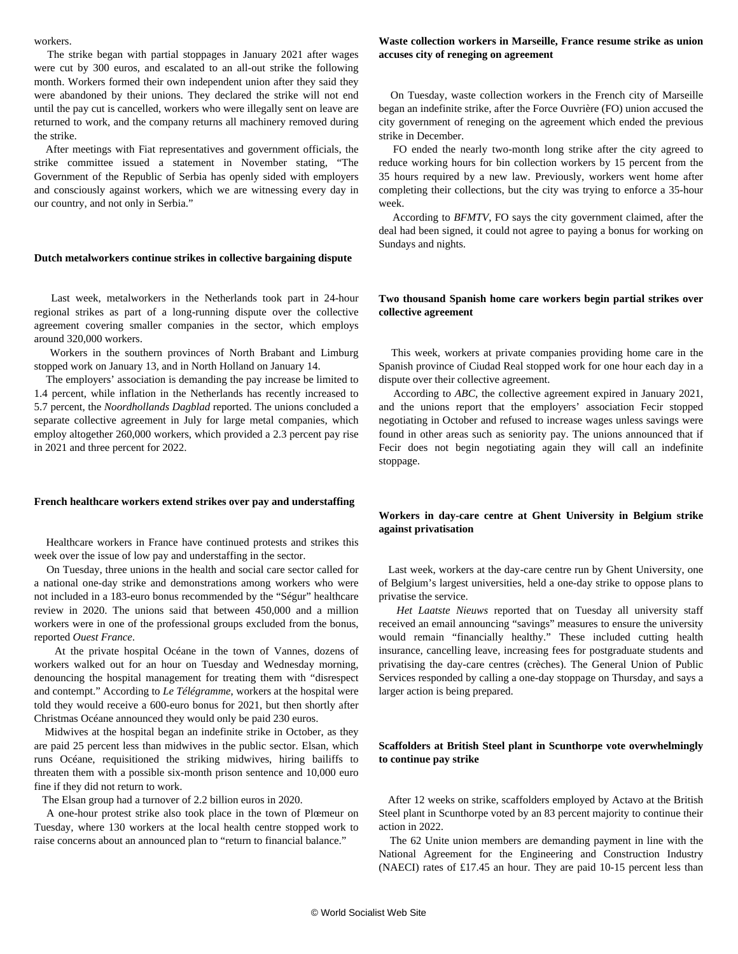#### workers.

 The strike began with partial stoppages in January 2021 after wages were cut by 300 euros, and escalated to an all-out strike the following month. Workers formed their own independent union after they said they were abandoned by their unions. They declared the strike will not end until the pay cut is cancelled, workers who were illegally sent on leave are returned to work, and the company returns all machinery removed during the strike.

 After meetings with Fiat representatives and government officials, the strike committee issued a statement in November stating, "The Government of the Republic of Serbia has openly sided with employers and consciously against workers, which we are witnessing every day in our country, and not only in Serbia."

#### **Dutch metalworkers continue strikes in collective bargaining dispute**

 Last week, metalworkers in the Netherlands took part in 24-hour regional strikes as part of a long-running dispute over the collective agreement covering smaller companies in the sector, which employs around 320,000 workers.

 Workers in the southern provinces of North Brabant and Limburg stopped work on January 13, and in North Holland on January 14.

 The employers' association is demanding the pay increase be limited to 1.4 percent, while inflation in the Netherlands has recently increased to 5.7 percent, the *Noordhollands Dagblad* reported. The unions concluded a separate collective agreement in July for large metal companies, which employ altogether 260,000 workers, which provided a 2.3 percent pay rise in 2021 and three percent for 2022.

#### **French healthcare workers extend strikes over pay and understaffing**

 Healthcare workers in France have continued protests and strikes this week over the issue of low pay and understaffing in the sector.

 On Tuesday, three unions in the health and social care sector called for a national one-day strike and demonstrations among workers who were not included in a 183-euro bonus recommended by the "Ségur" healthcare review in 2020. The unions said that between 450,000 and a million workers were in one of the professional groups excluded from the bonus, reported *Ouest France*.

 At the private hospital Océane in the town of Vannes, dozens of workers walked out for an hour on Tuesday and Wednesday morning, denouncing the hospital management for treating them with "disrespect and contempt." According to *Le Télégramme*, workers at the hospital were told they would receive a 600-euro bonus for 2021, but then shortly after Christmas Océane announced they would only be paid 230 euros.

 Midwives at the hospital began an indefinite strike in October, as they are paid 25 percent less than midwives in the public sector. Elsan, which runs Océane, requisitioned the striking midwives, hiring bailiffs to threaten them with a possible six-month prison sentence and 10,000 euro fine if they did not return to work.

The Elsan group had a turnover of 2.2 billion euros in 2020.

 A one-hour protest strike also took place in the town of Plœmeur on Tuesday, where 130 workers at the local health centre stopped work to raise concerns about an announced plan to "return to financial balance."

## **Waste collection workers in Marseille, France resume strike as union accuses city of reneging on agreement**

 On Tuesday, waste collection workers in the French city of Marseille began an indefinite strike, after the Force Ouvrière (FO) union accused the city government of reneging on the agreement which ended the previous strike in December.

 FO ended the nearly two-month long strike after the city agreed to reduce working hours for bin collection workers by 15 percent from the 35 hours required by a new law. Previously, workers went home after completing their collections, but the city was trying to enforce a 35-hour week.

 According to *BFMTV*, FO says the city government claimed, after the deal had been signed, it could not agree to paying a bonus for working on Sundays and nights.

## **Two thousand Spanish home care workers begin partial strikes over collective agreement**

 This week, workers at private companies providing home care in the Spanish province of Ciudad Real stopped work for one hour each day in a dispute over their collective agreement.

 According to *ABC*, the collective agreement expired in January 2021, and the unions report that the employers' association Fecir stopped negotiating in October and refused to increase wages unless savings were found in other areas such as seniority pay. The unions announced that if Fecir does not begin negotiating again they will call an indefinite stoppage.

## **Workers in day-care centre at Ghent University in Belgium strike against privatisation**

 Last week, workers at the day-care centre run by Ghent University, one of Belgium's largest universities, held a one-day strike to oppose plans to privatise the service.

 *Het Laatste Nieuws* reported that on Tuesday all university staff received an email announcing "savings" measures to ensure the university would remain "financially healthy." These included cutting health insurance, cancelling leave, increasing fees for postgraduate students and privatising the day-care centres (crèches). The General Union of Public Services responded by calling a one-day stoppage on Thursday, and says a larger action is being prepared.

## **Scaffolders at British Steel plant in Scunthorpe vote overwhelmingly to continue pay strike**

 After 12 weeks on strike, scaffolders employed by Actavo at the British Steel plant in Scunthorpe voted by an 83 percent majority to continue their action in 2022.

 The 62 Unite union members are demanding payment in line with the National Agreement for the Engineering and Construction Industry (NAECI) rates of £17.45 an hour. They are paid 10-15 percent less than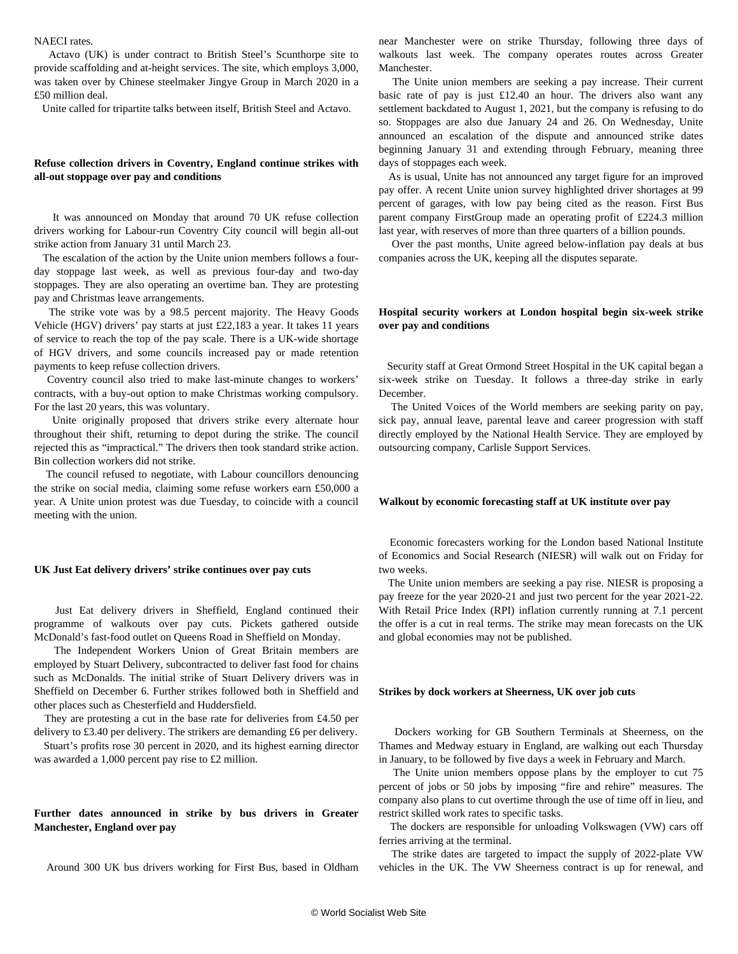#### NAECI rates.

 Actavo (UK) is under contract to British Steel's Scunthorpe site to provide scaffolding and at-height services. The site, which employs 3,000, was taken over by Chinese steelmaker Jingye Group in March 2020 in a £50 million deal.

Unite called for tripartite talks between itself, British Steel and Actavo.

## **Refuse collection drivers in Coventry, England continue strikes with all-out stoppage over pay and conditions**

 It was announced on Monday that around 70 UK refuse collection drivers working for Labour-run Coventry City council will begin all-out strike action from January 31 until March 23.

 The escalation of the action by the Unite union members follows a fourday stoppage last week, as well as previous four-day and two-day stoppages. They are also operating an overtime ban. They are protesting pay and Christmas leave arrangements.

 The strike vote was by a 98.5 percent majority. The Heavy Goods Vehicle (HGV) drivers' pay starts at just £22,183 a year. It takes 11 years of service to reach the top of the pay scale. There is a UK-wide shortage of HGV drivers, and some councils increased pay or made retention payments to keep refuse collection drivers.

 Coventry council also tried to make last-minute changes to workers' contracts, with a buy-out option to make Christmas working compulsory. For the last 20 years, this was voluntary.

 Unite originally proposed that drivers strike every alternate hour throughout their shift, returning to depot during the strike. The council rejected this as "impractical." The drivers then took standard strike action. Bin collection workers did not strike.

 The council refused to negotiate, with Labour councillors denouncing the strike on social media, claiming some refuse workers earn £50,000 a year. A Unite union protest was due Tuesday, to coincide with a council meeting with the union.

#### **UK Just Eat delivery drivers' strike continues over pay cuts**

 Just Eat delivery drivers in Sheffield, England continued their programme of walkouts over pay cuts. Pickets gathered outside McDonald's fast-food outlet on Queens Road in Sheffield on Monday.

 The Independent Workers Union of Great Britain members are employed by Stuart Delivery, subcontracted to deliver fast food for chains such as McDonalds. The initial strike of Stuart Delivery drivers was in Sheffield on December 6. Further strikes followed both in Sheffield and other places such as Chesterfield and Huddersfield.

 They are protesting a cut in the base rate for deliveries from £4.50 per delivery to £3.40 per delivery. The strikers are demanding £6 per delivery.

 Stuart's profits rose 30 percent in 2020, and its highest earning director was awarded a 1,000 percent pay rise to £2 million.

## **Further dates announced in strike by bus drivers in Greater Manchester, England over pay**

Around 300 UK bus drivers working for First Bus, based in Oldham

near Manchester were on strike Thursday, following three days of walkouts last week. The company operates routes across Greater **Manchester** 

 The Unite union members are seeking a pay increase. Their current basic rate of pay is just £12.40 an hour. The drivers also want any settlement backdated to August 1, 2021, but the company is refusing to do so. Stoppages are also due January 24 and 26. On Wednesday, Unite announced an escalation of the dispute and announced strike dates beginning January 31 and extending through February, meaning three days of stoppages each week.

 As is usual, Unite has not announced any target figure for an improved pay offer. A recent Unite union survey highlighted driver shortages at 99 percent of garages, with low pay being cited as the reason. First Bus parent company FirstGroup made an operating profit of £224.3 million last year, with reserves of more than three quarters of a billion pounds.

 Over the past months, Unite agreed below-inflation pay deals at bus companies across the UK, keeping all the disputes separate.

#### **Hospital security workers at London hospital begin six-week strike over pay and conditions**

 Security staff at Great Ormond Street Hospital in the UK capital began a six-week strike on Tuesday. It follows a three-day strike in early December.

 The United Voices of the World members are seeking parity on pay, sick pay, annual leave, parental leave and career progression with staff directly employed by the National Health Service. They are employed by outsourcing company, Carlisle Support Services.

## **Walkout by economic forecasting staff at UK institute over pay**

 Economic forecasters working for the London based National Institute of Economics and Social Research (NIESR) will walk out on Friday for two weeks.

 The Unite union members are seeking a pay rise. NIESR is proposing a pay freeze for the year 2020-21 and just two percent for the year 2021-22. With Retail Price Index (RPI) inflation currently running at 7.1 percent the offer is a cut in real terms. The strike may mean forecasts on the UK and global economies may not be published.

#### **Strikes by dock workers at Sheerness, UK over job cuts**

 Dockers working for GB Southern Terminals at Sheerness, on the Thames and Medway estuary in England, are walking out each Thursday in January, to be followed by five days a week in February and March.

 The Unite union members oppose plans by the employer to cut 75 percent of jobs or 50 jobs by imposing "fire and rehire" measures. The company also plans to cut overtime through the use of time off in lieu, and restrict skilled work rates to specific tasks.

 The dockers are responsible for unloading Volkswagen (VW) cars off ferries arriving at the terminal.

 The strike dates are targeted to impact the supply of 2022-plate VW vehicles in the UK. The VW Sheerness contract is up for renewal, and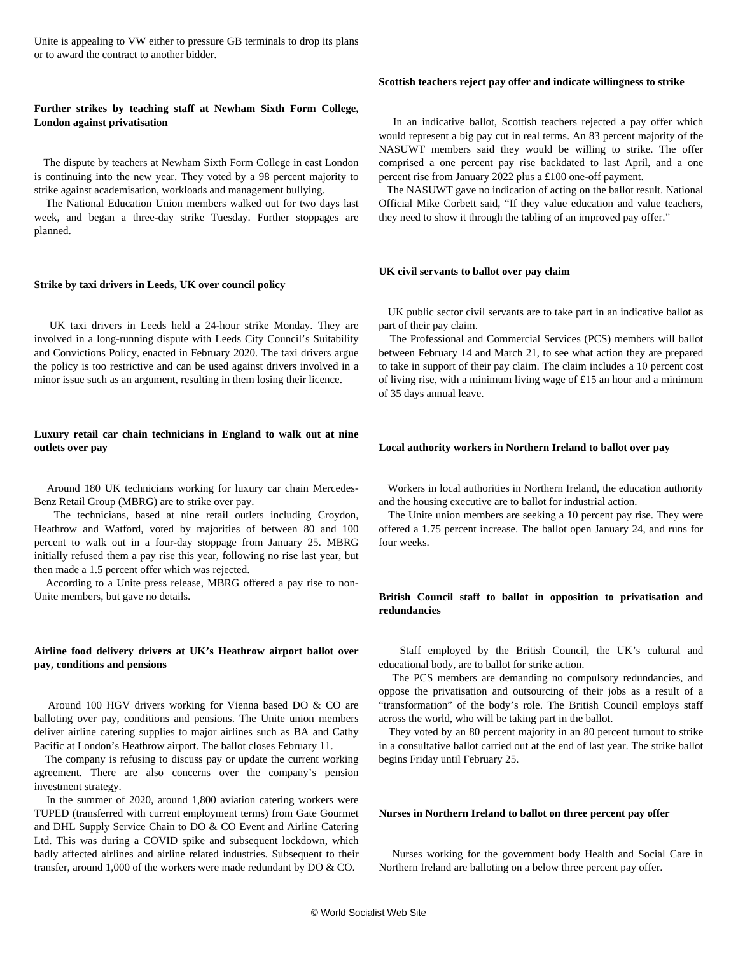Unite is appealing to VW either to pressure GB terminals to drop its plans or to award the contract to another bidder.

## **Further strikes by teaching staff at Newham Sixth Form College, London against privatisation**

 The dispute by teachers at Newham Sixth Form College in east London is continuing into the new year. They voted by a 98 percent majority to strike against academisation, workloads and management bullying.

 The National Education Union members walked out for two days last week, and began a three-day strike Tuesday. Further stoppages are planned.

#### **Strike by taxi drivers in Leeds, UK over council policy**

 UK taxi drivers in Leeds held a 24-hour strike Monday. They are involved in a long-running dispute with Leeds City Council's Suitability and Convictions Policy, enacted in February 2020. The taxi drivers argue the policy is too restrictive and can be used against drivers involved in a minor issue such as an argument, resulting in them losing their licence.

## **Luxury retail car chain technicians in England to walk out at nine outlets over pay**

 Around 180 UK technicians working for luxury car chain Mercedes-Benz Retail Group (MBRG) are to strike over pay.

 The technicians, based at nine retail outlets including Croydon, Heathrow and Watford, voted by majorities of between 80 and 100 percent to walk out in a four-day stoppage from January 25. MBRG initially refused them a pay rise this year, following no rise last year, but then made a 1.5 percent offer which was rejected.

 According to a Unite press release, MBRG offered a pay rise to non-Unite members, but gave no details.

## **Airline food delivery drivers at UK's Heathrow airport ballot over pay, conditions and pensions**

 Around 100 HGV drivers working for Vienna based DO & CO are balloting over pay, conditions and pensions. The Unite union members deliver airline catering supplies to major airlines such as BA and Cathy Pacific at London's Heathrow airport. The ballot closes February 11.

 The company is refusing to discuss pay or update the current working agreement. There are also concerns over the company's pension investment strategy.

 In the summer of 2020, around 1,800 aviation catering workers were TUPED (transferred with current employment terms) from Gate Gourmet and DHL Supply Service Chain to DO & CO Event and Airline Catering Ltd. This was during a COVID spike and subsequent lockdown, which badly affected airlines and airline related industries. Subsequent to their transfer, around 1,000 of the workers were made redundant by DO & CO.

#### **Scottish teachers reject pay offer and indicate willingness to strike**

 In an indicative ballot, Scottish teachers rejected a pay offer which would represent a big pay cut in real terms. An 83 percent majority of the NASUWT members said they would be willing to strike. The offer comprised a one percent pay rise backdated to last April, and a one percent rise from January 2022 plus a £100 one-off payment.

 The NASUWT gave no indication of acting on the ballot result. National Official Mike Corbett said, "If they value education and value teachers, they need to show it through the tabling of an improved pay offer."

#### **UK civil servants to ballot over pay claim**

 UK public sector civil servants are to take part in an indicative ballot as part of their pay claim.

 The Professional and Commercial Services (PCS) members will ballot between February 14 and March 21, to see what action they are prepared to take in support of their pay claim. The claim includes a 10 percent cost of living rise, with a minimum living wage of £15 an hour and a minimum of 35 days annual leave.

#### **Local authority workers in Northern Ireland to ballot over pay**

 Workers in local authorities in Northern Ireland, the education authority and the housing executive are to ballot for industrial action.

 The Unite union members are seeking a 10 percent pay rise. They were offered a 1.75 percent increase. The ballot open January 24, and runs for four weeks.

## **British Council staff to ballot in opposition to privatisation and redundancies**

 Staff employed by the British Council, the UK's cultural and educational body, are to ballot for strike action.

 The PCS members are demanding no compulsory redundancies, and oppose the privatisation and outsourcing of their jobs as a result of a "transformation" of the body's role. The British Council employs staff across the world, who will be taking part in the ballot.

 They voted by an 80 percent majority in an 80 percent turnout to strike in a consultative ballot carried out at the end of last year. The strike ballot begins Friday until February 25.

#### **Nurses in Northern Ireland to ballot on three percent pay offer**

 Nurses working for the government body Health and Social Care in Northern Ireland are balloting on a below three percent pay offer.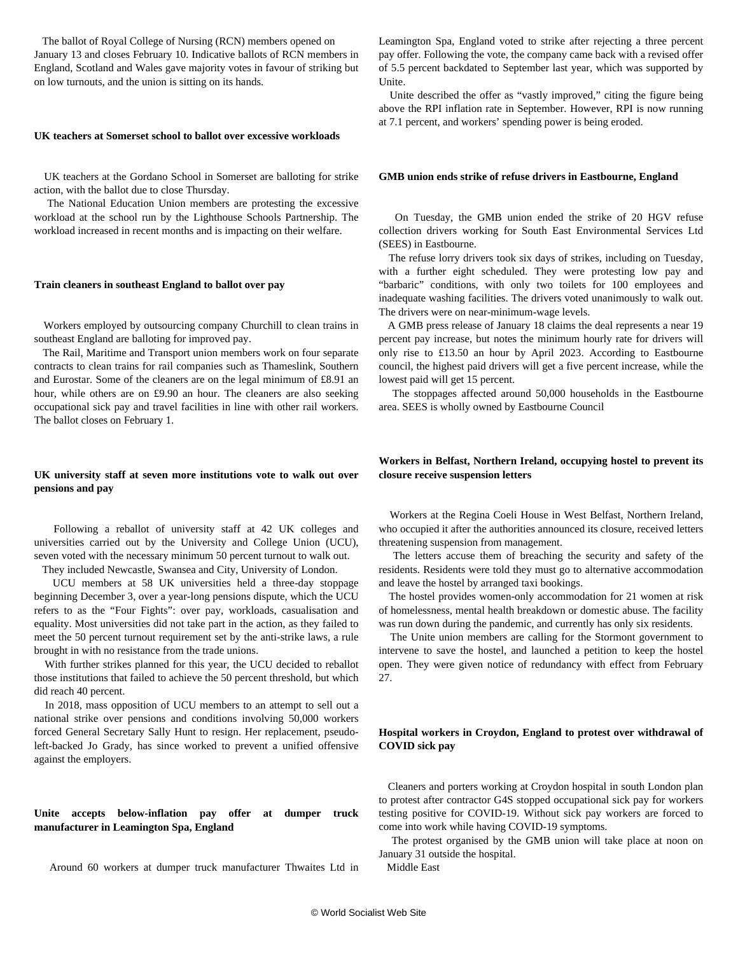The ballot of Royal College of Nursing (RCN) members opened on January 13 and closes February 10. Indicative ballots of RCN members in England, Scotland and Wales gave majority votes in favour of striking but on low turnouts, and the union is sitting on its hands.

#### **UK teachers at Somerset school to ballot over excessive workloads**

 UK teachers at the Gordano School in Somerset are balloting for strike action, with the ballot due to close Thursday.

 The National Education Union members are protesting the excessive workload at the school run by the Lighthouse Schools Partnership. The workload increased in recent months and is impacting on their welfare.

#### **Train cleaners in southeast England to ballot over pay**

 Workers employed by outsourcing company Churchill to clean trains in southeast England are balloting for improved pay.

 The Rail, Maritime and Transport union members work on four separate contracts to clean trains for rail companies such as Thameslink, Southern and Eurostar. Some of the cleaners are on the legal minimum of £8.91 an hour, while others are on £9.90 an hour. The cleaners are also seeking occupational sick pay and travel facilities in line with other rail workers. The ballot closes on February 1.

## **UK university staff at seven more institutions vote to walk out over pensions and pay**

 Following a reballot of university staff at 42 UK colleges and universities carried out by the University and College Union (UCU), seven voted with the necessary minimum 50 percent turnout to walk out. They included Newcastle, Swansea and City, University of London.

 UCU members at 58 UK universities held a three-day stoppage beginning December 3, over a year-long pensions dispute, which the UCU refers to as the "Four Fights": over pay, workloads, casualisation and equality. Most universities did not take part in the action, as they failed to meet the 50 percent turnout requirement set by the anti-strike laws, a rule

brought in with no resistance from the trade unions. With further strikes planned for this year, the UCU decided to reballot those institutions that failed to achieve the 50 percent threshold, but which did reach 40 percent.

 In 2018, mass opposition of UCU members to an attempt to sell out a national strike over pensions and conditions involving 50,000 workers forced General Secretary Sally Hunt to resign. Her replacement, pseudoleft-backed Jo Grady, has since worked to prevent a unified offensive against the employers.

**Unite accepts below-inflation pay offer at dumper truck manufacturer in Leamington Spa, England**

Around 60 workers at dumper truck manufacturer Thwaites Ltd in

Leamington Spa, England voted to strike after rejecting a three percent pay offer. Following the vote, the company came back with a revised offer of 5.5 percent backdated to September last year, which was supported by Unite.

 Unite described the offer as "vastly improved," citing the figure being above the RPI inflation rate in September. However, RPI is now running at 7.1 percent, and workers' spending power is being eroded.

#### **GMB union ends strike of refuse drivers in Eastbourne, England**

 On Tuesday, the GMB union ended the strike of 20 HGV refuse collection drivers working for South East Environmental Services Ltd (SEES) in Eastbourne.

 The refuse lorry drivers took six days of strikes, including on Tuesday, with a further eight scheduled. They were protesting low pay and "barbaric" conditions, with only two toilets for 100 employees and inadequate washing facilities. The drivers voted unanimously to walk out. The drivers were on near-minimum-wage levels.

 A GMB press release of January 18 claims the deal represents a near 19 percent pay increase, but notes the minimum hourly rate for drivers will only rise to £13.50 an hour by April 2023. According to Eastbourne council, the highest paid drivers will get a five percent increase, while the lowest paid will get 15 percent.

 The stoppages affected around 50,000 households in the Eastbourne area. SEES is wholly owned by Eastbourne Council

## **Workers in Belfast, Northern Ireland, occupying hostel to prevent its closure receive suspension letters**

 Workers at the Regina Coeli House in West Belfast, Northern Ireland, who occupied it after the authorities announced its closure, received letters threatening suspension from management.

 The letters accuse them of breaching the security and safety of the residents. Residents were told they must go to alternative accommodation and leave the hostel by arranged taxi bookings.

 The hostel provides women-only accommodation for 21 women at risk of homelessness, mental health breakdown or domestic abuse. The facility was run down during the pandemic, and currently has only six residents.

 The Unite union members are calling for the Stormont government to intervene to save the hostel, and launched a petition to keep the hostel open. They were given notice of redundancy with effect from February 27.

## **Hospital workers in Croydon, England to protest over withdrawal of COVID sick pay**

 Cleaners and porters working at Croydon hospital in south London plan to protest after contractor G4S stopped occupational sick pay for workers testing positive for COVID-19. Without sick pay workers are forced to come into work while having COVID-19 symptoms.

 The protest organised by the GMB union will take place at noon on January 31 outside the hospital. Middle East

© World Socialist Web Site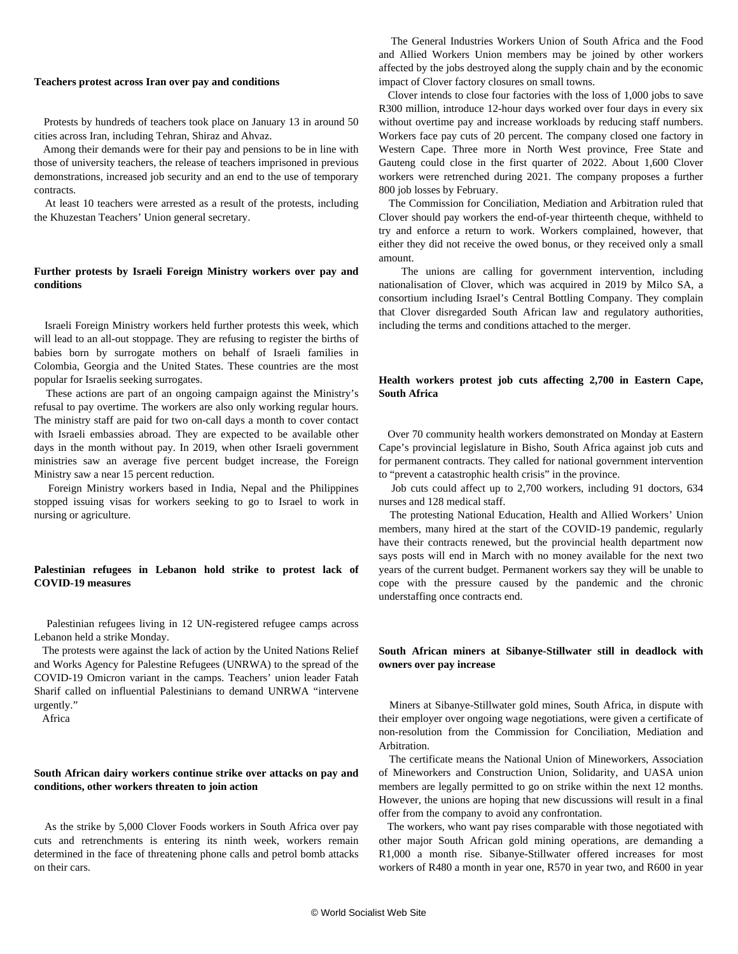#### **Teachers protest across Iran over pay and conditions**

 Protests by hundreds of teachers took place on January 13 in around 50 cities across Iran, including Tehran, Shiraz and Ahvaz.

 Among their demands were for their pay and pensions to be in line with those of university teachers, the release of teachers imprisoned in previous demonstrations, increased job security and an end to the use of temporary contracts.

 At least 10 teachers were arrested as a result of the protests, including the Khuzestan Teachers' Union general secretary.

## **Further protests by Israeli Foreign Ministry workers over pay and conditions**

 Israeli Foreign Ministry workers held further protests this week, which will lead to an all-out stoppage. They are refusing to register the births of babies born by surrogate mothers on behalf of Israeli families in Colombia, Georgia and the United States. These countries are the most popular for Israelis seeking surrogates.

 These actions are part of an ongoing campaign against the Ministry's refusal to pay overtime. The workers are also only working regular hours. The ministry staff are paid for two on-call days a month to cover contact with Israeli embassies abroad. They are expected to be available other days in the month without pay. In 2019, when other Israeli government ministries saw an average five percent budget increase, the Foreign Ministry saw a near 15 percent reduction.

 Foreign Ministry workers based in India, Nepal and the Philippines stopped issuing visas for workers seeking to go to Israel to work in nursing or agriculture.

## **Palestinian refugees in Lebanon hold strike to protest lack of COVID-19 measures**

 Palestinian refugees living in 12 UN-registered refugee camps across Lebanon held a strike Monday.

 The protests were against the lack of action by the United Nations Relief and Works Agency for Palestine Refugees (UNRWA) to the spread of the COVID-19 Omicron variant in the camps. Teachers' union leader Fatah Sharif called on influential Palestinians to demand UNRWA "intervene urgently."

Africa

## **South African dairy workers continue strike over attacks on pay and conditions, other workers threaten to join action**

 As the strike by 5,000 Clover Foods workers in South Africa over pay cuts and retrenchments is entering its ninth week, workers remain determined in the face of threatening phone calls and petrol bomb attacks on their cars.

 The General Industries Workers Union of South Africa and the Food and Allied Workers Union members may be joined by other workers affected by the jobs destroyed along the supply chain and by the economic impact of Clover factory closures on small towns.

 Clover intends to close four factories with the loss of 1,000 jobs to save R300 million, introduce 12-hour days worked over four days in every six without overtime pay and increase workloads by reducing staff numbers. Workers face pay cuts of 20 percent. The company closed one factory in Western Cape. Three more in North West province, Free State and Gauteng could close in the first quarter of 2022. About 1,600 Clover workers were retrenched during 2021. The company proposes a further 800 job losses by February.

 The Commission for Conciliation, Mediation and Arbitration ruled that Clover should pay workers the end-of-year thirteenth cheque, withheld to try and enforce a return to work. Workers complained, however, that either they did not receive the owed bonus, or they received only a small amount.

 The unions are calling for government intervention, including nationalisation of Clover, which was acquired in 2019 by Milco SA, a consortium including Israel's Central Bottling Company. They complain that Clover disregarded South African law and regulatory authorities, including the terms and conditions attached to the merger.

## **Health workers protest job cuts affecting 2,700 in Eastern Cape, South Africa**

 Over 70 community health workers demonstrated on Monday at Eastern Cape's provincial legislature in Bisho, South Africa against job cuts and for permanent contracts. They called for national government intervention to "prevent a catastrophic health crisis" in the province.

 Job cuts could affect up to 2,700 workers, including 91 doctors, 634 nurses and 128 medical staff.

 The protesting National Education, Health and Allied Workers' Union members, many hired at the start of the COVID-19 pandemic, regularly have their contracts renewed, but the provincial health department now says posts will end in March with no money available for the next two years of the current budget. Permanent workers say they will be unable to cope with the pressure caused by the pandemic and the chronic understaffing once contracts end.

## **South African miners at Sibanye-Stillwater still in deadlock with owners over pay increase**

 Miners at Sibanye-Stillwater gold mines, South Africa, in dispute with their employer over ongoing wage negotiations, were given a certificate of non-resolution from the Commission for Conciliation, Mediation and Arbitration.

 The certificate means the National Union of Mineworkers, Association of Mineworkers and Construction Union, Solidarity, and UASA union members are legally permitted to go on strike within the next 12 months. However, the unions are hoping that new discussions will result in a final offer from the company to avoid any confrontation.

 The workers, who want pay rises comparable with those negotiated with other major South African gold mining operations, are demanding a R1,000 a month rise. Sibanye-Stillwater offered increases for most workers of R480 a month in year one, R570 in year two, and R600 in year